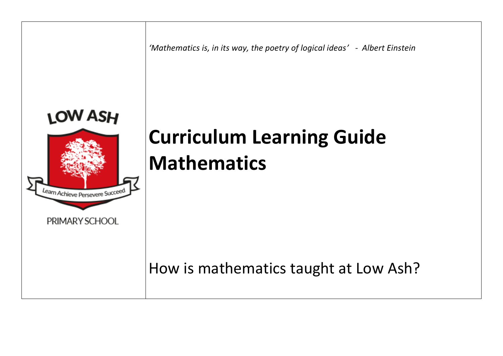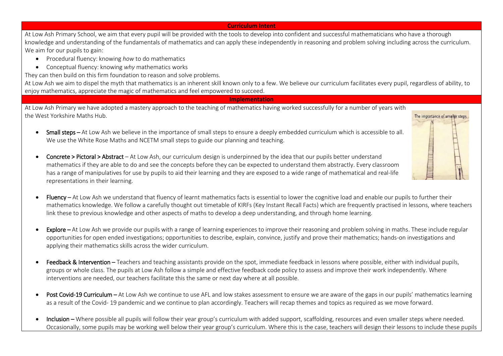## **Curriculum Intent**

At Low Ash Primary School, we aim that every pupil will be provided with the tools to develop into confident and successful mathematicians who have a thorough knowledge and understanding of the fundamentals of mathematics and can apply these independently in reasoning and problem solving including across the curriculum. We aim for our pupils to gain:

- Procedural fluency: knowing *how* to do mathematics
- Conceptual fluency: knowing *why* mathematics works

They can then build on this firm foundation to reason and solve problems.

At Low Ash we aim to dispel the myth that mathematics is an inherent skill known only to a few. We believe our curriculum facilitates every pupil, regardless of ability, to enjoy mathematics, appreciate the magic of mathematics and feel empowered to succeed.

## **Implementation**

At Low Ash Primary we have adopted a mastery approach to the teaching of mathematics having worked successfully for a number of years with the West Yorkshire Maths Hub.

• Small steps – At Low Ash we believe in the importance of small steps to ensure a deeply embedded curriculum which is accessible to all. We use the White Rose Maths and NCETM small steps to guide our planning and teaching.



- Concrete > Pictoral > Abstract At Low Ash, our curriculum design is underpinned by the idea that our pupils better understand mathematics if they are able to do and see the concepts before they can be expected to understand them abstractly. Every classroom has a range of manipulatives for use by pupils to aid their learning and they are exposed to a wide range of mathematical and real-life representations in their learning.
- Fluency At Low Ash we understand that fluency of learnt mathematics facts is essential to lower the cognitive load and enable our pupils to further their mathematics knowledge. We follow a carefully thought out timetable of KIRFs (Key Instant Recall Facts) which are frequently practised in lessons, where teachers link these to previous knowledge and other aspects of maths to develop a deep understanding, and through home learning.
- **Explore** At Low Ash we provide our pupils with a range of learning experiences to improve their reasoning and problem solving in maths. These include regular opportunities for open ended investigations; opportunities to describe, explain, convince, justify and prove their mathematics; hands-on investigations and applying their mathematics skills across the wider curriculum.
- Feedback & Intervention Teachers and teaching assistants provide on the spot, immediate feedback in lessons where possible, either with individual pupils, groups or whole class. The pupils at Low Ash follow a simple and effective feedback code policy to assess and improve their work independently. Where interventions are needed, our teachers facilitate this the same or next day where at all possible.
- Post Covid-19 Curriculum At Low Ash we continue to use AFL and low stakes assessment to ensure we are aware of the gaps in our pupils' mathematics learning as a result of the Covid- 19 pandemic and we continue to plan accordingly. Teachers will recap themes and topics as required as we move forward.
- Inclusion Where possible all pupils will follow their year group's curriculum with added support, scaffolding, resources and even smaller steps where needed. Occasionally, some pupils may be working well below their year group's curriculum. Where this is the case, teachers will design their lessons to include these pupils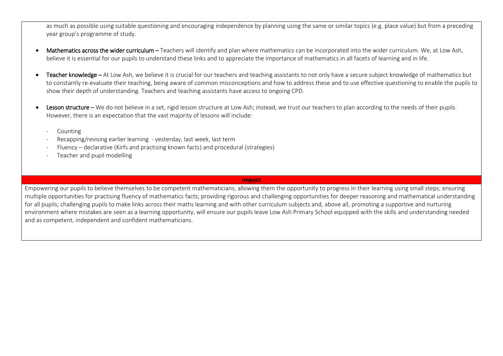as much as possible using suitable questioning and encouraging independence by planning using the same or similar topics (e.g. place value) but from a preceding year group's programme of study.

- Mathematics across the wider curriculum Teachers will identify and plan where mathematics can be incorporated into the wider curriculum. We, at Low Ash, believe it is essential for our pupils to understand these links and to appreciate the importance of mathematics in all facets of learning and in life.
- Teacher knowledge At Low Ash, we believe it is crucial for our teachers and teaching assistants to not only have a secure subject knowledge of mathematics but to constantly re-evaluate their teaching, being aware of common misconceptions and how to address these and to use effective questioning to enable the pupils to show their depth of understanding. Teachers and teaching assistants have access to ongoing CPD.
- Lesson structure We do not believe in a set, rigid lesson structure at Low Ash; instead, we trust our teachers to plan according to the needs of their pupils. However, there is an expectation that the vast majority of lessons will include:
	- **Counting**
	- Recapping/revising earlier learning yesterday, last week, last term
	- Fluency declarative (Kirfs and practising known facts) and procedural (strategies)
	- Teacher and pupil modelling

ı **Impact**

Empowering our pupils to believe themselves to be competent mathematicians; allowing them the opportunity to progress in their learning using small steps; ensuring multiple opportunities for practising fluency of mathematics facts; providing rigorous and challenging opportunities for deeper reasoning and mathematical understanding for all pupils; challenging pupils to make links across their maths learning and with other curriculum subjects and, above all, promoting a supportive and nurturing environment where mistakes are seen as a learning opportunity, will ensure our pupils leave Low Ash Primary School equipped with the skills and understanding needed and as competent, independent and confident mathematicians.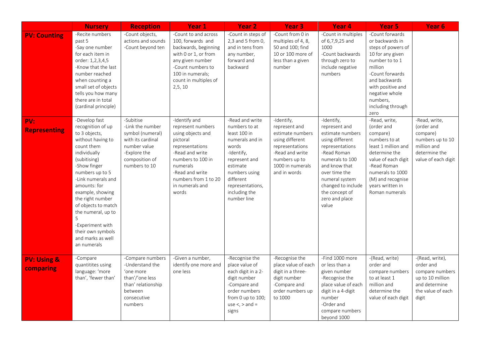|                                     | <b>Nursery</b>                                                                                                                                                                                                                                                                                                                                                         | <b>Reception</b>                                                                                                                          | Year 1                                                                                                                                                                                                            | <b>Year 2</b>                                                                                                                                                                                             | <b>Year 3</b>                                                                                                                                                 | Year <sub>4</sub>                                                                                                                                                                                                                              | Year <sub>5</sub>                                                                                                                                                                                                             | Year <sub>6</sub>                                                                                                  |
|-------------------------------------|------------------------------------------------------------------------------------------------------------------------------------------------------------------------------------------------------------------------------------------------------------------------------------------------------------------------------------------------------------------------|-------------------------------------------------------------------------------------------------------------------------------------------|-------------------------------------------------------------------------------------------------------------------------------------------------------------------------------------------------------------------|-----------------------------------------------------------------------------------------------------------------------------------------------------------------------------------------------------------|---------------------------------------------------------------------------------------------------------------------------------------------------------------|------------------------------------------------------------------------------------------------------------------------------------------------------------------------------------------------------------------------------------------------|-------------------------------------------------------------------------------------------------------------------------------------------------------------------------------------------------------------------------------|--------------------------------------------------------------------------------------------------------------------|
| <b>PV: Counting</b>                 | -Recite numbers<br>past 5<br>-Say one number<br>for each item in<br>order: 1,2,3,4,5<br>-Know that the last<br>number reached<br>when counting a<br>small set of objects<br>tells you how many<br>there are in total<br>(cardinal principle)                                                                                                                           | -Count objects,<br>actions and sounds<br>-Count beyond ten                                                                                | -Count to and across<br>100. forwards and<br>backwards, beginning<br>with 0 or 1, or from<br>any given number<br>-Count numbers to<br>100 in numerals;<br>count in multiples of<br>2, 5, 10                       | -Count in steps of<br>2,3 and 5 from 0,<br>and in tens from<br>any number,<br>forward and<br>backward                                                                                                     | -Count from 0 in<br>multiples of 4, 8,<br>50 and 100; find<br>10 or 100 more of<br>less than a given<br>number                                                | -Count in multiples<br>of 6,7,9,25 and<br>1000<br>-Count backwards<br>through zero to<br>include negative<br>numbers                                                                                                                           | -Count forwards<br>or backwards in<br>steps of powers of<br>10 for any given<br>number to to 1<br>million<br>-Count forwards<br>and backwards<br>with positive and<br>negative whole<br>numbers,<br>including through<br>zero |                                                                                                                    |
| PV:<br><b>Representing</b>          | -Develop fast<br>recognition of up<br>to 3 objects,<br>without having to<br>count them<br>individually<br>(subitising)<br>-Show finger<br>numbers up to 5<br>-Link numerals and<br>amounts: for<br>example, showing<br>the right number<br>of objects to match<br>the numeral, up to<br>5<br>-Experiment with<br>their own symbols<br>and marks as well<br>an numerals | -Subitise<br>-Link the number<br>symbol (numeral)<br>with its cardinal<br>number value<br>-Explore the<br>composition of<br>numbers to 10 | -Identify and<br>represent numbers<br>using objects and<br>pictoral<br>representations<br>-Read and write<br>numbers to 100 in<br>numerals<br>-Read and write<br>numbers from 1 to 20<br>in numerals and<br>words | -Read and write<br>numbers to at<br>least 100 in<br>numerals and in<br>words<br>-Identify,<br>represent and<br>estimate<br>numbers using<br>different<br>representations,<br>including the<br>number line | -Identify,<br>represent and<br>estimate numbers<br>using different<br>representations<br>-Read and write<br>numbers up to<br>1000 in numerals<br>and in words | -Identify,<br>represent and<br>estimate numbers<br>using different<br>representations<br>-Read Roman<br>numerals to 100<br>and know that<br>over time the<br>numeral system<br>changed to include<br>the concept of<br>zero and place<br>value | -Read, write,<br>(order and<br>compare)<br>numbers to at<br>least 1 million and<br>determine the<br>value of each digit<br>-Read Roman<br>numerals to 1000<br>(M) and recognise<br>years written in<br>Roman numerals         | -Read, write,<br>(order and<br>compare)<br>numbers up to 10<br>million and<br>determine the<br>value of each digit |
| <b>PV: Using &amp;</b><br>comparing | -Compare<br>quantitites using<br>language: 'more<br>than', 'fewer than'                                                                                                                                                                                                                                                                                                | -Compare numbers<br>-Understand the<br>'one more<br>than'/'one less<br>than' relationship<br>between<br>consecutive<br>numbers            | -Given a number,<br>identify one more and<br>one less                                                                                                                                                             | -Recognise the<br>place value of<br>each digit in a 2-<br>digit number<br>-Compare and<br>order numbers<br>from 0 up to 100;<br>use $\lt$ , $>$ and =<br>signs                                            | -Recognise the<br>place value of each<br>digit in a three-<br>digit number<br>-Compare and<br>order numbers up<br>to 1000                                     | -Find 1000 more<br>or less than a<br>given number<br>-Recognise the<br>place value of each<br>digit in a 4-digit<br>number<br>-Order and<br>compare numbers<br>beyond 1000                                                                     | -(Read, write)<br>order and<br>compare numbers<br>to at least 1<br>million and<br>determine the<br>value of each digit                                                                                                        | -(Read, write),<br>order and<br>compare numbers<br>up to 10 million<br>and determine<br>the value of each<br>digit |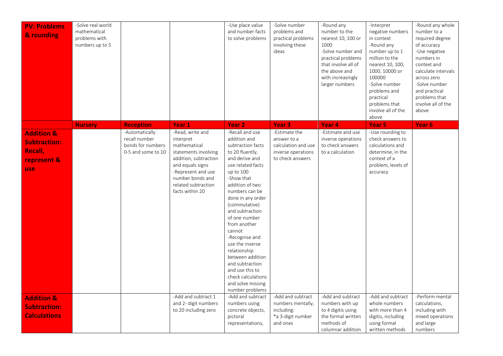| <b>PV: Problems</b><br>& rounding                                   | -Solve real world<br>mathematical<br>problems with<br>numbers up to 5 |                                                     |                                                                                                                                                                       | -Use place value<br>and number facts<br>to solve problems                                                                                                                                                                                                                                                                                                                                                                    | -Solve number<br>problems and<br>practical problems<br>involving these<br>ideas       | -Round any<br>number to the<br>nearest 10, 100 or<br>1000<br>-Solve number and<br>practical problems<br>that involve all of<br>the above and<br>with increasingly<br>larger numbers | -Interpret<br>negative numbers<br>in context<br>-Round any<br>number up to 1<br>million to the<br>nearest 10, 100,<br>1000, 10000 or<br>100000<br>-Solve number<br>problems and<br>practical<br>problems that<br>involve all of the<br>above | -Round any whole<br>number to a<br>required degree<br>of accuracy<br>-Use negative<br>numbers in<br>context and<br>calculate intervals<br>across zero<br>-Solve number<br>and practical<br>problems that<br>involve all of the<br>above |
|---------------------------------------------------------------------|-----------------------------------------------------------------------|-----------------------------------------------------|-----------------------------------------------------------------------------------------------------------------------------------------------------------------------|------------------------------------------------------------------------------------------------------------------------------------------------------------------------------------------------------------------------------------------------------------------------------------------------------------------------------------------------------------------------------------------------------------------------------|---------------------------------------------------------------------------------------|-------------------------------------------------------------------------------------------------------------------------------------------------------------------------------------|----------------------------------------------------------------------------------------------------------------------------------------------------------------------------------------------------------------------------------------------|-----------------------------------------------------------------------------------------------------------------------------------------------------------------------------------------------------------------------------------------|
| <b>Addition &amp;</b><br><b>Subtraction:</b>                        | <b>Nursery</b>                                                        | <b>Reception</b><br>-Automatically<br>recall number | Year 1<br>-Read, write and<br>interpret                                                                                                                               | <b>Year 2</b><br>-Recall and use<br>addition and                                                                                                                                                                                                                                                                                                                                                                             | Year <sub>3</sub><br>-Estimate the<br>answer to a                                     | Year 4<br>-Estimate and use<br>inverse operations                                                                                                                                   | Year 5<br>-Use rounding to<br>check answers to                                                                                                                                                                                               | Year 6                                                                                                                                                                                                                                  |
| Recall,<br>represent &<br><b>use</b>                                |                                                                       | bonds for numbers<br>0-5 and some to 10             | mathematical<br>statements involving<br>addition, subtraction<br>and equals signs<br>-Represent and use<br>number bonds and<br>related subtraction<br>facts within 20 | subtraction facts<br>to 20 fluently,<br>and derive and<br>use related facts<br>up to 100<br>-Show that<br>addition of two<br>numbers can be<br>done in any order<br>(commutative)<br>and subtraction<br>of one number<br>from another<br>cannot<br>-Recognise and<br>use the inverse<br>relationship<br>between addition<br>and subtraction<br>and use this to<br>check calculations<br>and solve missing<br>number problems | calculation and use<br>inverse operations<br>to check answers                         | to check answers<br>to a calculation                                                                                                                                                | calculations and<br>determine, in the<br>context of a<br>problem, levels of<br>accuracy                                                                                                                                                      |                                                                                                                                                                                                                                         |
| <b>Addition &amp;</b><br><b>Subtraction:</b><br><b>Calculations</b> |                                                                       |                                                     | -Add and subtract 1<br>and 2- digit numbers<br>to 20 including zero                                                                                                   | -Add and subtract<br>numbers using<br>concrete objects,<br>pictoral<br>representations,                                                                                                                                                                                                                                                                                                                                      | -Add and subtract<br>numbers mentally,<br>including:<br>*a 3-digit number<br>and ones | -Add and subtract<br>numbers with up<br>to 4 digitis using<br>the formal written<br>methods of<br>columnar addition                                                                 | -Add and subtract<br>whole numbers<br>with more than 4<br>digitis, including<br>using formal<br>written methods                                                                                                                              | -Perform mental<br>calculations,<br>including with<br>mixed operations<br>and large<br>numbers                                                                                                                                          |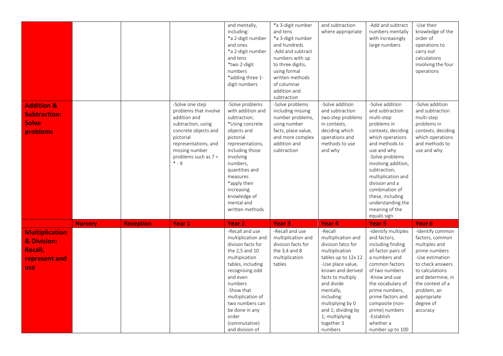| <b>Addition &amp;</b><br><b>Subtraction:</b><br><b>Solve</b><br>problems |                |                  | -Solve one step<br>problems that involve<br>addition and<br>subtraction, using<br>concrete objects and<br>pictorial | and mentally,<br>including:<br>*a 2-digit number<br>and ones<br>*a 2-digit number<br>and tens<br>*two 2-digit<br>numbers<br>*adding three 1-<br>digit numbers<br>-Solve problems<br>with addition and<br>subtraction;<br>*Using concrete<br>objects and<br>pictorial | *a 3-digit number<br>and tens<br>*a 3-digit number<br>and hundreds<br>-Add and subtract<br>numbers with up<br>to three digitis,<br>using formal<br>written methods<br>of columnar<br>addition and<br>subtraction<br>-Solve problems<br>including missing<br>number problems,<br>using number<br>facts, place value,<br>and more complex | and subtraction<br>where appropriate<br>-Solve addition<br>and subtraction<br>two-step problems<br>in contexts,<br>deciding which<br>operations and | -Add and subtract<br>numbers mentally<br>with increasingly<br>large numbers<br>-Solve addition<br>and subtraction<br>multi-step<br>problems in<br>contexts, deciding<br>which operations                                    | -Use their<br>knowledge of the<br>order of<br>operations to<br>carry out<br>calculations<br>involving the four<br>operations<br>-Solve addition<br>and subtraction<br>multi-step<br>problems in<br>contexts, deciding<br>which operations |
|--------------------------------------------------------------------------|----------------|------------------|---------------------------------------------------------------------------------------------------------------------|----------------------------------------------------------------------------------------------------------------------------------------------------------------------------------------------------------------------------------------------------------------------|-----------------------------------------------------------------------------------------------------------------------------------------------------------------------------------------------------------------------------------------------------------------------------------------------------------------------------------------|-----------------------------------------------------------------------------------------------------------------------------------------------------|-----------------------------------------------------------------------------------------------------------------------------------------------------------------------------------------------------------------------------|-------------------------------------------------------------------------------------------------------------------------------------------------------------------------------------------------------------------------------------------|
|                                                                          |                |                  | representations, and<br>missing number<br>problems such as 7 =<br>$* - 9$                                           | representations,<br>including those<br>involving<br>numbers,<br>quantities and<br>measures<br>*apply their<br>increasing<br>knowledge of<br>mental and<br>written methods                                                                                            | addition and<br>subtraction                                                                                                                                                                                                                                                                                                             | methods to use<br>and why                                                                                                                           | and methods to<br>use and why<br>-Solve problems<br>involving addition,<br>subtraction,<br>multiplication and<br>division and a<br>combination of<br>these, including<br>understanding the<br>meaning of the<br>equals sign | and methods to<br>use and why                                                                                                                                                                                                             |
|                                                                          | <b>Nursery</b> | <b>Reception</b> | Year <sub>1</sub>                                                                                                   | <b>Year 2</b>                                                                                                                                                                                                                                                        | Year <sub>3</sub>                                                                                                                                                                                                                                                                                                                       | Year <sub>4</sub>                                                                                                                                   | Year <sub>5</sub>                                                                                                                                                                                                           | Year <sub>6</sub>                                                                                                                                                                                                                         |
| <b>Multiplication</b>                                                    |                |                  |                                                                                                                     | -Recall and use                                                                                                                                                                                                                                                      | -Recall and use                                                                                                                                                                                                                                                                                                                         | -Recall                                                                                                                                             | -Identify multiples                                                                                                                                                                                                         | -Identify common                                                                                                                                                                                                                          |
| & Division:                                                              |                |                  |                                                                                                                     | multiplication and<br>divison facts for                                                                                                                                                                                                                              | multiplication and<br>division facts for                                                                                                                                                                                                                                                                                                | multiplication and<br>division fatcs for                                                                                                            | and factors,<br>including finding                                                                                                                                                                                           | factors, common<br>multiples and                                                                                                                                                                                                          |
| Recall,                                                                  |                |                  |                                                                                                                     | the 2,5 and 10                                                                                                                                                                                                                                                       | the $3,4$ and $8$                                                                                                                                                                                                                                                                                                                       | multiplication                                                                                                                                      | all factor pairs of                                                                                                                                                                                                         | prime numbers                                                                                                                                                                                                                             |
| represent and                                                            |                |                  |                                                                                                                     | multipication                                                                                                                                                                                                                                                        | multiplication                                                                                                                                                                                                                                                                                                                          | tables up to 12x 12                                                                                                                                 | a numbers and                                                                                                                                                                                                               | -Use estimation                                                                                                                                                                                                                           |
| use                                                                      |                |                  |                                                                                                                     | tables, including<br>recognising odd                                                                                                                                                                                                                                 | tables                                                                                                                                                                                                                                                                                                                                  | -Use place value,<br>known and derived                                                                                                              | common factors<br>of two numbers                                                                                                                                                                                            | to check answers<br>to calculations                                                                                                                                                                                                       |
|                                                                          |                |                  |                                                                                                                     | and even                                                                                                                                                                                                                                                             |                                                                                                                                                                                                                                                                                                                                         | facts to multiply                                                                                                                                   | -Know and use                                                                                                                                                                                                               | and determine, in                                                                                                                                                                                                                         |
|                                                                          |                |                  |                                                                                                                     | numbers                                                                                                                                                                                                                                                              |                                                                                                                                                                                                                                                                                                                                         | and divide                                                                                                                                          | the vocabulary of                                                                                                                                                                                                           | the context of a                                                                                                                                                                                                                          |
|                                                                          |                |                  |                                                                                                                     | -Show that                                                                                                                                                                                                                                                           |                                                                                                                                                                                                                                                                                                                                         | mentally,                                                                                                                                           | prime numbers,                                                                                                                                                                                                              | problem, an                                                                                                                                                                                                                               |
|                                                                          |                |                  |                                                                                                                     | multiplication of<br>two numbers can                                                                                                                                                                                                                                 |                                                                                                                                                                                                                                                                                                                                         | including:<br>multiplying by 0                                                                                                                      | prime factors and<br>composite (non-                                                                                                                                                                                        | appropriate<br>degree of                                                                                                                                                                                                                  |
|                                                                          |                |                  |                                                                                                                     | be done in any                                                                                                                                                                                                                                                       |                                                                                                                                                                                                                                                                                                                                         | and 1; dividing by                                                                                                                                  | prime) numbers                                                                                                                                                                                                              | accuracy                                                                                                                                                                                                                                  |
|                                                                          |                |                  |                                                                                                                     | order                                                                                                                                                                                                                                                                |                                                                                                                                                                                                                                                                                                                                         | 1; multiplying                                                                                                                                      | -Establish                                                                                                                                                                                                                  |                                                                                                                                                                                                                                           |
|                                                                          |                |                  |                                                                                                                     | (commutative)                                                                                                                                                                                                                                                        |                                                                                                                                                                                                                                                                                                                                         | together 3                                                                                                                                          | whether a                                                                                                                                                                                                                   |                                                                                                                                                                                                                                           |
|                                                                          |                |                  |                                                                                                                     | and division of                                                                                                                                                                                                                                                      |                                                                                                                                                                                                                                                                                                                                         | numbers                                                                                                                                             | number up to 100                                                                                                                                                                                                            |                                                                                                                                                                                                                                           |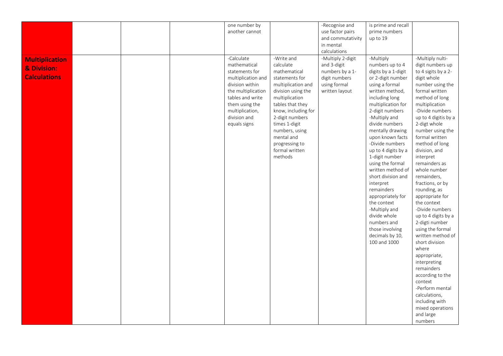|                       |  | one number by      |                     | -Recognise and    | is prime and recall              |                                       |
|-----------------------|--|--------------------|---------------------|-------------------|----------------------------------|---------------------------------------|
|                       |  | another cannot     |                     | use factor pairs  | prime numbers                    |                                       |
|                       |  |                    |                     | and commutativity | up to 19                         |                                       |
|                       |  |                    |                     | in mental         |                                  |                                       |
|                       |  |                    |                     | calculations      |                                  |                                       |
| <b>Multiplication</b> |  | -Calculate         | -Write and          | -Multiply 2-digit | -Multiply                        | -Multiply nulti-                      |
|                       |  | mathematical       | calculate           | and 3-digit       | numbers up to 4                  | digit numbers up                      |
| & Division:           |  | statements for     | mathematical        | numbers by a 1-   | digits by a 1-digit              | to 4 sigits by a 2-                   |
| <b>Calculations</b>   |  | multiplication and | statements for      | digit numbers     | or 2-digit number                | digit whole                           |
|                       |  | division within    | multiplication and  | using formal      | using a formal                   | number using the                      |
|                       |  | the multiplication | division using the  | written layout    | written method,                  | formal written                        |
|                       |  | tables and write   | multiplication      |                   | including long                   | method of long                        |
|                       |  | them using the     | tables that they    |                   | multiplication for               | multiplication                        |
|                       |  | multiplication,    | know, including for |                   | 2-digit numbers                  | -Divide numbers                       |
|                       |  | division and       | 2-digit numbers     |                   | -Multiply and                    | up to 4 digitis by a                  |
|                       |  | equals signs       | times 1-digit       |                   | divide numbers                   | 2-digt whole                          |
|                       |  |                    | numbers, using      |                   | mentally drawing                 | number using the                      |
|                       |  |                    | mental and          |                   | upon known facts                 | formal written                        |
|                       |  |                    | progressing to      |                   | -Divide numbers                  | method of long                        |
|                       |  |                    | formal written      |                   | up to 4 digits by a              | division, and                         |
|                       |  |                    | methods             |                   | 1-digit number                   | interpret                             |
|                       |  |                    |                     |                   | using the formal                 | remainders as                         |
|                       |  |                    |                     |                   | written method of                | whole number                          |
|                       |  |                    |                     |                   | short division and               | remainders,                           |
|                       |  |                    |                     |                   | interpret                        | fractions, or by                      |
|                       |  |                    |                     |                   | remainders                       | rounding, as                          |
|                       |  |                    |                     |                   |                                  |                                       |
|                       |  |                    |                     |                   | appropriately for<br>the context | appropriate for<br>the context        |
|                       |  |                    |                     |                   | -Multiply and                    | -Divide numbers                       |
|                       |  |                    |                     |                   |                                  |                                       |
|                       |  |                    |                     |                   | divide whole<br>numbers and      | up to 4 digits by a<br>2-digti number |
|                       |  |                    |                     |                   | those involving                  | using the formal                      |
|                       |  |                    |                     |                   |                                  |                                       |
|                       |  |                    |                     |                   | decimals by 10,                  | written method of<br>short division   |
|                       |  |                    |                     |                   | 100 and 1000                     |                                       |
|                       |  |                    |                     |                   |                                  | where                                 |
|                       |  |                    |                     |                   |                                  | appropriate,                          |
|                       |  |                    |                     |                   |                                  | interpreting<br>remainders            |
|                       |  |                    |                     |                   |                                  |                                       |
|                       |  |                    |                     |                   |                                  | according to the                      |
|                       |  |                    |                     |                   |                                  | context                               |
|                       |  |                    |                     |                   |                                  | -Perform mental                       |
|                       |  |                    |                     |                   |                                  | calculations,                         |
|                       |  |                    |                     |                   |                                  | including with                        |
|                       |  |                    |                     |                   |                                  | mixed operations                      |
|                       |  |                    |                     |                   |                                  | and large                             |
|                       |  |                    |                     |                   |                                  | numbers                               |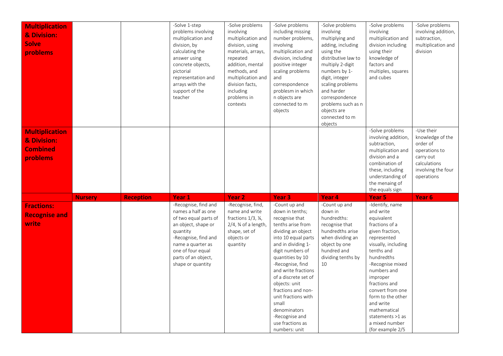| <b>Multiplication</b><br>& Division:<br><b>Solve</b><br>problems    |                |                  | -Solve 1-step<br>problems involving<br>multiplication and<br>division, by<br>calculating the<br>answer using<br>concrete objects,<br>pictorial<br>representation and<br>arrays with the<br>support of the<br>teacher | -Solve problems<br>involving<br>multiplication and<br>division, using<br>materials, arrays,<br>repeated<br>addition, mental<br>methods, and<br>multiplication and<br>division facts,<br>including<br>problems in<br>contexts | -Solve problems<br>including missing<br>number problems,<br>involving<br>multiplication and<br>division, including<br>positive integer<br>scaling problems<br>and<br>correspondence<br>problesm in which<br>n objects are<br>connected to m<br>objects                                                                                                                             | -Solve problems<br>involving<br>multiplying and<br>adding, including<br>using the<br>distributive law to<br>multiply 2-digit<br>numbers by 1-<br>digit, integer<br>scaling problems<br>and harder<br>correspondence<br>problems such as n<br>objects are<br>connected to m<br>objects | -Solve problems<br>involving<br>multiplication and<br>division including<br>using their<br>knowledge of<br>factors and<br>multiples, squares<br>and cubes                                                                                                                                                                      | -Solve problems<br>involving addition,<br>subtraction,<br>multiplication and<br>division                                     |
|---------------------------------------------------------------------|----------------|------------------|----------------------------------------------------------------------------------------------------------------------------------------------------------------------------------------------------------------------|------------------------------------------------------------------------------------------------------------------------------------------------------------------------------------------------------------------------------|------------------------------------------------------------------------------------------------------------------------------------------------------------------------------------------------------------------------------------------------------------------------------------------------------------------------------------------------------------------------------------|---------------------------------------------------------------------------------------------------------------------------------------------------------------------------------------------------------------------------------------------------------------------------------------|--------------------------------------------------------------------------------------------------------------------------------------------------------------------------------------------------------------------------------------------------------------------------------------------------------------------------------|------------------------------------------------------------------------------------------------------------------------------|
| <b>Multiplication</b><br>& Division:<br><b>Combined</b><br>problems |                |                  |                                                                                                                                                                                                                      |                                                                                                                                                                                                                              |                                                                                                                                                                                                                                                                                                                                                                                    |                                                                                                                                                                                                                                                                                       | -Solve problems<br>involving addition,<br>subtraction,<br>multiplication and<br>division and a<br>combination of<br>these, including<br>understanding of<br>the menaing of<br>the equals sign                                                                                                                                  | -Use their<br>knowledge of the<br>order of<br>operations to<br>carry out<br>calculations<br>involving the four<br>operations |
| <b>Fractions:</b>                                                   | <b>Nursery</b> | <b>Reception</b> | Year <sub>1</sub><br>-Recognise, find and                                                                                                                                                                            | Year <sub>2</sub><br>-Recognise, find,                                                                                                                                                                                       | Year <sub>3</sub><br>-Count up and                                                                                                                                                                                                                                                                                                                                                 | Year 4<br>-Count up and                                                                                                                                                                                                                                                               | Year 5<br>-Identify, name                                                                                                                                                                                                                                                                                                      | Year 6                                                                                                                       |
| <b>Recognise and</b><br>write                                       |                |                  | names a half as one<br>of two equal parts of<br>an object, shape or<br>quantity<br>-Recognise, find and<br>name a quarter as<br>one of four equal<br>parts of an object,<br>shape or quantity                        | name and write<br>fractions $1/3$ , $\frac{1}{4}$ ,<br>$2/4$ , $\frac{3}{4}$ of a length,<br>shape, set of<br>objects or<br>quantity                                                                                         | down in tenths;<br>recognise that<br>tenths arise from<br>dividing an object<br>into 10 equal parts<br>and in dividing 1-<br>digit numbers of<br>quantities by 10<br>-Recognise, find<br>and write fractions<br>of a discrete set of<br>objects: unit<br>fractions and non-<br>unit fractions with<br>small<br>denominators<br>-Recognise and<br>use fractions as<br>numbers: unit | down in<br>hundredths:<br>recognise that<br>hundredths arise<br>when dividing an<br>object by one<br>hundred and<br>dividing tenths by<br>10                                                                                                                                          | and write<br>equivalent<br>fractions of a<br>given fraction,<br>represented<br>visually, including<br>tenths and<br>hundredths<br>-Recognise mixed<br>numbers and<br>improper<br>fractions and<br>convert from one<br>form to the other<br>and write<br>mathematical<br>statements >1 as<br>a mixed number<br>(for example 2/5 |                                                                                                                              |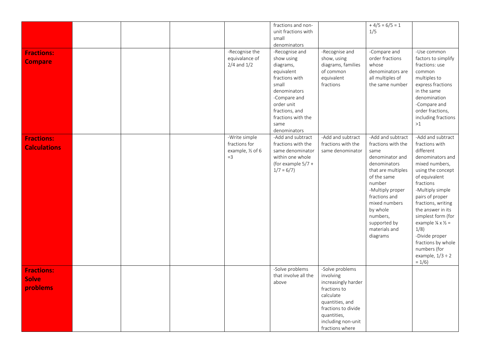| <b>Fractions:</b><br><b>Compare</b>           |  | -Recognise the<br>equivalance of<br>$2/4$ and $1/2$          | fractions and non-<br>unit fractions with<br>small<br>denominators<br>-Recognise and<br>show using<br>diagrams,<br>equivalent<br>fractions with<br>small<br>denominators<br>-Compare and<br>order unit<br>fractions, and<br>fractions with the<br>same<br>denominators | -Recognise and<br>show, using<br>diagrams, families<br>of common<br>equivalent<br>fractions                                                                                        | $+4/5 = 6/5 = 1$<br>1/5<br>-Compare and<br>order fractions<br>whose<br>denominators are<br>all multiples of<br>the same number                                                                                                                               | -Use common<br>factors to simplify<br>fractions: use<br>common<br>multiples to<br>express fractions<br>in the same<br>denomination<br>-Compare and<br>order fractions,<br>including fractions<br>>1                                                                                                                                                                                                 |
|-----------------------------------------------|--|--------------------------------------------------------------|------------------------------------------------------------------------------------------------------------------------------------------------------------------------------------------------------------------------------------------------------------------------|------------------------------------------------------------------------------------------------------------------------------------------------------------------------------------|--------------------------------------------------------------------------------------------------------------------------------------------------------------------------------------------------------------------------------------------------------------|-----------------------------------------------------------------------------------------------------------------------------------------------------------------------------------------------------------------------------------------------------------------------------------------------------------------------------------------------------------------------------------------------------|
| <b>Fractions:</b><br><b>Calculations</b>      |  | -Write simple<br>fractions for<br>example, 1/2 of 6<br>$=$ 3 | -Add and subtract<br>fractions with the<br>same denominator<br>within one whole<br>(for example $5/7 +$<br>$1/7 = 6/7$                                                                                                                                                 | -Add and subtract<br>fractions with the<br>same denominator                                                                                                                        | -Add and subtract<br>fractions with the<br>same<br>denominator and<br>denominators<br>that are multiples<br>of the same<br>number<br>-Multiply proper<br>fractions and<br>mixed numbers<br>by whole<br>numbers,<br>supported by<br>materials and<br>diagrams | -Add and subtract<br>fractions with<br>different<br>denominators and<br>mixed numbers,<br>using the concept<br>of equivalent<br>fractions<br>-Multiply simple<br>pairs of proper<br>fractions, writing<br>the answer in its<br>simplest form (for<br>example $\frac{1}{4} \times \frac{1}{2} =$<br>1/8)<br>-Divide proper<br>fractions by whole<br>numbers (for<br>example, $1/3 \div 2$<br>$= 1/6$ |
| <b>Fractions:</b><br><b>Solve</b><br>problems |  |                                                              | -Solve problems<br>that involve all the<br>above                                                                                                                                                                                                                       | -Solve problems<br>involving<br>increasingly harder<br>fractions to<br>calculate<br>quantities, and<br>fractions to divide<br>quantities,<br>including non-unit<br>fractions where |                                                                                                                                                                                                                                                              |                                                                                                                                                                                                                                                                                                                                                                                                     |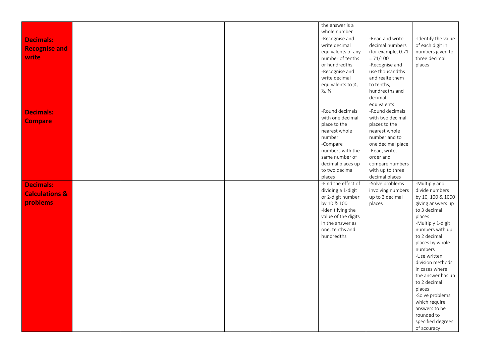| whole number<br>-Recognise and<br>-Read and write<br><b>Decimals:</b><br>write decimal<br>decimal numbers<br>of each digit in<br><b>Recognise and</b><br>equivalents of any<br>(for example, 0.71<br>write<br>three decimal<br>number of tenths<br>$= 71/100$<br>or hundredths<br>-Recognise and<br>places<br>-Recognise and<br>use thousandths<br>write decimal<br>and realte them<br>equivalents to 1/4,<br>to tenths,<br>$\frac{1}{2}$ . $\frac{3}{4}$<br>hundredths and<br>decimal<br>equivalents<br>-Round decimals<br>-Round decimals<br><b>Decimals:</b><br>with one decimal<br>with two decimal<br><b>Compare</b><br>place to the<br>places to the<br>nearest whole<br>nearest whole<br>number<br>number and to<br>-Compare<br>one decimal place<br>numbers with the<br>-Read, write,<br>same number of<br>order and<br>decimal places up<br>compare numbers<br>to two decimal<br>with up to three<br>places<br>decimal places<br>-Find the effect of<br>-Solve problems<br>-Multiply and<br><b>Decimals:</b><br>dividing a 1-digit<br>involving numbers<br>divide numbers<br><b>Calculations &amp;</b><br>or 2-digit number<br>up to 3 decimal<br>by 10, 100 & 1000<br>problems<br>by 10 & 100<br>places<br>-Idenitifying the<br>to 3 decimal<br>value of the digits<br>places<br>in the answer as<br>one, tenths and<br>hundredths<br>to 2 decimal<br>places by whole<br>numbers<br>-Use written<br>division methods<br>in cases where<br>the answer has up<br>to 2 decimal<br>places<br>-Solve problems<br>which require<br>answers to be<br>rounded to |  |  |  | the answer is a |                     |
|--------------------------------------------------------------------------------------------------------------------------------------------------------------------------------------------------------------------------------------------------------------------------------------------------------------------------------------------------------------------------------------------------------------------------------------------------------------------------------------------------------------------------------------------------------------------------------------------------------------------------------------------------------------------------------------------------------------------------------------------------------------------------------------------------------------------------------------------------------------------------------------------------------------------------------------------------------------------------------------------------------------------------------------------------------------------------------------------------------------------------------------------------------------------------------------------------------------------------------------------------------------------------------------------------------------------------------------------------------------------------------------------------------------------------------------------------------------------------------------------------------------------------------------------------------------------|--|--|--|-----------------|---------------------|
|                                                                                                                                                                                                                                                                                                                                                                                                                                                                                                                                                                                                                                                                                                                                                                                                                                                                                                                                                                                                                                                                                                                                                                                                                                                                                                                                                                                                                                                                                                                                                                    |  |  |  |                 |                     |
|                                                                                                                                                                                                                                                                                                                                                                                                                                                                                                                                                                                                                                                                                                                                                                                                                                                                                                                                                                                                                                                                                                                                                                                                                                                                                                                                                                                                                                                                                                                                                                    |  |  |  |                 | -Identify the value |
|                                                                                                                                                                                                                                                                                                                                                                                                                                                                                                                                                                                                                                                                                                                                                                                                                                                                                                                                                                                                                                                                                                                                                                                                                                                                                                                                                                                                                                                                                                                                                                    |  |  |  |                 |                     |
|                                                                                                                                                                                                                                                                                                                                                                                                                                                                                                                                                                                                                                                                                                                                                                                                                                                                                                                                                                                                                                                                                                                                                                                                                                                                                                                                                                                                                                                                                                                                                                    |  |  |  |                 | numbers given to    |
|                                                                                                                                                                                                                                                                                                                                                                                                                                                                                                                                                                                                                                                                                                                                                                                                                                                                                                                                                                                                                                                                                                                                                                                                                                                                                                                                                                                                                                                                                                                                                                    |  |  |  |                 |                     |
|                                                                                                                                                                                                                                                                                                                                                                                                                                                                                                                                                                                                                                                                                                                                                                                                                                                                                                                                                                                                                                                                                                                                                                                                                                                                                                                                                                                                                                                                                                                                                                    |  |  |  |                 |                     |
|                                                                                                                                                                                                                                                                                                                                                                                                                                                                                                                                                                                                                                                                                                                                                                                                                                                                                                                                                                                                                                                                                                                                                                                                                                                                                                                                                                                                                                                                                                                                                                    |  |  |  |                 |                     |
|                                                                                                                                                                                                                                                                                                                                                                                                                                                                                                                                                                                                                                                                                                                                                                                                                                                                                                                                                                                                                                                                                                                                                                                                                                                                                                                                                                                                                                                                                                                                                                    |  |  |  |                 |                     |
|                                                                                                                                                                                                                                                                                                                                                                                                                                                                                                                                                                                                                                                                                                                                                                                                                                                                                                                                                                                                                                                                                                                                                                                                                                                                                                                                                                                                                                                                                                                                                                    |  |  |  |                 |                     |
|                                                                                                                                                                                                                                                                                                                                                                                                                                                                                                                                                                                                                                                                                                                                                                                                                                                                                                                                                                                                                                                                                                                                                                                                                                                                                                                                                                                                                                                                                                                                                                    |  |  |  |                 |                     |
|                                                                                                                                                                                                                                                                                                                                                                                                                                                                                                                                                                                                                                                                                                                                                                                                                                                                                                                                                                                                                                                                                                                                                                                                                                                                                                                                                                                                                                                                                                                                                                    |  |  |  |                 |                     |
|                                                                                                                                                                                                                                                                                                                                                                                                                                                                                                                                                                                                                                                                                                                                                                                                                                                                                                                                                                                                                                                                                                                                                                                                                                                                                                                                                                                                                                                                                                                                                                    |  |  |  |                 |                     |
|                                                                                                                                                                                                                                                                                                                                                                                                                                                                                                                                                                                                                                                                                                                                                                                                                                                                                                                                                                                                                                                                                                                                                                                                                                                                                                                                                                                                                                                                                                                                                                    |  |  |  |                 |                     |
|                                                                                                                                                                                                                                                                                                                                                                                                                                                                                                                                                                                                                                                                                                                                                                                                                                                                                                                                                                                                                                                                                                                                                                                                                                                                                                                                                                                                                                                                                                                                                                    |  |  |  |                 |                     |
|                                                                                                                                                                                                                                                                                                                                                                                                                                                                                                                                                                                                                                                                                                                                                                                                                                                                                                                                                                                                                                                                                                                                                                                                                                                                                                                                                                                                                                                                                                                                                                    |  |  |  |                 |                     |
|                                                                                                                                                                                                                                                                                                                                                                                                                                                                                                                                                                                                                                                                                                                                                                                                                                                                                                                                                                                                                                                                                                                                                                                                                                                                                                                                                                                                                                                                                                                                                                    |  |  |  |                 |                     |
|                                                                                                                                                                                                                                                                                                                                                                                                                                                                                                                                                                                                                                                                                                                                                                                                                                                                                                                                                                                                                                                                                                                                                                                                                                                                                                                                                                                                                                                                                                                                                                    |  |  |  |                 |                     |
|                                                                                                                                                                                                                                                                                                                                                                                                                                                                                                                                                                                                                                                                                                                                                                                                                                                                                                                                                                                                                                                                                                                                                                                                                                                                                                                                                                                                                                                                                                                                                                    |  |  |  |                 |                     |
|                                                                                                                                                                                                                                                                                                                                                                                                                                                                                                                                                                                                                                                                                                                                                                                                                                                                                                                                                                                                                                                                                                                                                                                                                                                                                                                                                                                                                                                                                                                                                                    |  |  |  |                 |                     |
|                                                                                                                                                                                                                                                                                                                                                                                                                                                                                                                                                                                                                                                                                                                                                                                                                                                                                                                                                                                                                                                                                                                                                                                                                                                                                                                                                                                                                                                                                                                                                                    |  |  |  |                 |                     |
|                                                                                                                                                                                                                                                                                                                                                                                                                                                                                                                                                                                                                                                                                                                                                                                                                                                                                                                                                                                                                                                                                                                                                                                                                                                                                                                                                                                                                                                                                                                                                                    |  |  |  |                 |                     |
|                                                                                                                                                                                                                                                                                                                                                                                                                                                                                                                                                                                                                                                                                                                                                                                                                                                                                                                                                                                                                                                                                                                                                                                                                                                                                                                                                                                                                                                                                                                                                                    |  |  |  |                 |                     |
|                                                                                                                                                                                                                                                                                                                                                                                                                                                                                                                                                                                                                                                                                                                                                                                                                                                                                                                                                                                                                                                                                                                                                                                                                                                                                                                                                                                                                                                                                                                                                                    |  |  |  |                 |                     |
|                                                                                                                                                                                                                                                                                                                                                                                                                                                                                                                                                                                                                                                                                                                                                                                                                                                                                                                                                                                                                                                                                                                                                                                                                                                                                                                                                                                                                                                                                                                                                                    |  |  |  |                 |                     |
|                                                                                                                                                                                                                                                                                                                                                                                                                                                                                                                                                                                                                                                                                                                                                                                                                                                                                                                                                                                                                                                                                                                                                                                                                                                                                                                                                                                                                                                                                                                                                                    |  |  |  |                 |                     |
|                                                                                                                                                                                                                                                                                                                                                                                                                                                                                                                                                                                                                                                                                                                                                                                                                                                                                                                                                                                                                                                                                                                                                                                                                                                                                                                                                                                                                                                                                                                                                                    |  |  |  |                 | giving answers up   |
|                                                                                                                                                                                                                                                                                                                                                                                                                                                                                                                                                                                                                                                                                                                                                                                                                                                                                                                                                                                                                                                                                                                                                                                                                                                                                                                                                                                                                                                                                                                                                                    |  |  |  |                 |                     |
|                                                                                                                                                                                                                                                                                                                                                                                                                                                                                                                                                                                                                                                                                                                                                                                                                                                                                                                                                                                                                                                                                                                                                                                                                                                                                                                                                                                                                                                                                                                                                                    |  |  |  |                 |                     |
|                                                                                                                                                                                                                                                                                                                                                                                                                                                                                                                                                                                                                                                                                                                                                                                                                                                                                                                                                                                                                                                                                                                                                                                                                                                                                                                                                                                                                                                                                                                                                                    |  |  |  |                 | -Multiply 1-digit   |
|                                                                                                                                                                                                                                                                                                                                                                                                                                                                                                                                                                                                                                                                                                                                                                                                                                                                                                                                                                                                                                                                                                                                                                                                                                                                                                                                                                                                                                                                                                                                                                    |  |  |  |                 | numbers with up     |
|                                                                                                                                                                                                                                                                                                                                                                                                                                                                                                                                                                                                                                                                                                                                                                                                                                                                                                                                                                                                                                                                                                                                                                                                                                                                                                                                                                                                                                                                                                                                                                    |  |  |  |                 |                     |
|                                                                                                                                                                                                                                                                                                                                                                                                                                                                                                                                                                                                                                                                                                                                                                                                                                                                                                                                                                                                                                                                                                                                                                                                                                                                                                                                                                                                                                                                                                                                                                    |  |  |  |                 |                     |
|                                                                                                                                                                                                                                                                                                                                                                                                                                                                                                                                                                                                                                                                                                                                                                                                                                                                                                                                                                                                                                                                                                                                                                                                                                                                                                                                                                                                                                                                                                                                                                    |  |  |  |                 |                     |
|                                                                                                                                                                                                                                                                                                                                                                                                                                                                                                                                                                                                                                                                                                                                                                                                                                                                                                                                                                                                                                                                                                                                                                                                                                                                                                                                                                                                                                                                                                                                                                    |  |  |  |                 |                     |
|                                                                                                                                                                                                                                                                                                                                                                                                                                                                                                                                                                                                                                                                                                                                                                                                                                                                                                                                                                                                                                                                                                                                                                                                                                                                                                                                                                                                                                                                                                                                                                    |  |  |  |                 |                     |
|                                                                                                                                                                                                                                                                                                                                                                                                                                                                                                                                                                                                                                                                                                                                                                                                                                                                                                                                                                                                                                                                                                                                                                                                                                                                                                                                                                                                                                                                                                                                                                    |  |  |  |                 |                     |
|                                                                                                                                                                                                                                                                                                                                                                                                                                                                                                                                                                                                                                                                                                                                                                                                                                                                                                                                                                                                                                                                                                                                                                                                                                                                                                                                                                                                                                                                                                                                                                    |  |  |  |                 |                     |
|                                                                                                                                                                                                                                                                                                                                                                                                                                                                                                                                                                                                                                                                                                                                                                                                                                                                                                                                                                                                                                                                                                                                                                                                                                                                                                                                                                                                                                                                                                                                                                    |  |  |  |                 |                     |
|                                                                                                                                                                                                                                                                                                                                                                                                                                                                                                                                                                                                                                                                                                                                                                                                                                                                                                                                                                                                                                                                                                                                                                                                                                                                                                                                                                                                                                                                                                                                                                    |  |  |  |                 |                     |
|                                                                                                                                                                                                                                                                                                                                                                                                                                                                                                                                                                                                                                                                                                                                                                                                                                                                                                                                                                                                                                                                                                                                                                                                                                                                                                                                                                                                                                                                                                                                                                    |  |  |  |                 |                     |
|                                                                                                                                                                                                                                                                                                                                                                                                                                                                                                                                                                                                                                                                                                                                                                                                                                                                                                                                                                                                                                                                                                                                                                                                                                                                                                                                                                                                                                                                                                                                                                    |  |  |  |                 |                     |
|                                                                                                                                                                                                                                                                                                                                                                                                                                                                                                                                                                                                                                                                                                                                                                                                                                                                                                                                                                                                                                                                                                                                                                                                                                                                                                                                                                                                                                                                                                                                                                    |  |  |  |                 |                     |
|                                                                                                                                                                                                                                                                                                                                                                                                                                                                                                                                                                                                                                                                                                                                                                                                                                                                                                                                                                                                                                                                                                                                                                                                                                                                                                                                                                                                                                                                                                                                                                    |  |  |  |                 |                     |
|                                                                                                                                                                                                                                                                                                                                                                                                                                                                                                                                                                                                                                                                                                                                                                                                                                                                                                                                                                                                                                                                                                                                                                                                                                                                                                                                                                                                                                                                                                                                                                    |  |  |  |                 | of accuracy         |
|                                                                                                                                                                                                                                                                                                                                                                                                                                                                                                                                                                                                                                                                                                                                                                                                                                                                                                                                                                                                                                                                                                                                                                                                                                                                                                                                                                                                                                                                                                                                                                    |  |  |  |                 | specified degrees   |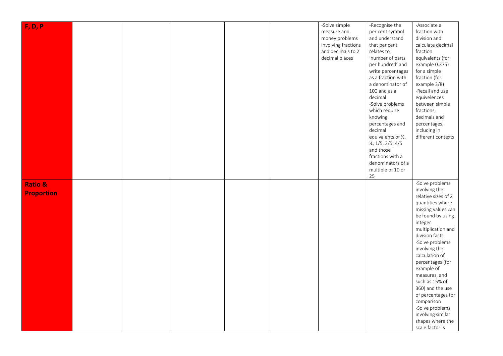| F, D, P           |  |  | -Solve simple       | -Recognise the      | -Associate a        |
|-------------------|--|--|---------------------|---------------------|---------------------|
|                   |  |  | measure and         | per cent symbol     | fraction with       |
|                   |  |  | money problems      | and understand      | division and        |
|                   |  |  | involving fractions | that per cent       | calculate decimal   |
|                   |  |  | and decimals to 2   | relates to          | fraction            |
|                   |  |  | decimal places      | 'number of parts    | equivalents (for    |
|                   |  |  |                     | per hundred' and    | example 0.375)      |
|                   |  |  |                     | write percentages   | for a simple        |
|                   |  |  |                     | as a fraction with  | fraction (for       |
|                   |  |  |                     | a denominator of    | example 3/8)        |
|                   |  |  |                     | 100 and as a        | -Recall and use     |
|                   |  |  |                     | decimal             | equivelences        |
|                   |  |  |                     | -Solve problems     | between simple      |
|                   |  |  |                     | which require       | fractions,          |
|                   |  |  |                     | knowing             | decimals and        |
|                   |  |  |                     | percentages and     | percentages,        |
|                   |  |  |                     | decimal             | including in        |
|                   |  |  |                     | equivalents of 1/2. | different contexts  |
|                   |  |  |                     | 1/4, 1/5, 2/5, 4/5  |                     |
|                   |  |  |                     | and those           |                     |
|                   |  |  |                     | fractions with a    |                     |
|                   |  |  |                     | denominators of a   |                     |
|                   |  |  |                     | multiple of 10 or   |                     |
|                   |  |  |                     | 25                  |                     |
|                   |  |  |                     |                     | -Solve problems     |
| Ratio &           |  |  |                     |                     | involving the       |
| <b>Proportion</b> |  |  |                     |                     | relative sizes of 2 |
|                   |  |  |                     |                     | quantities where    |
|                   |  |  |                     |                     | missing values can  |
|                   |  |  |                     |                     | be found by using   |
|                   |  |  |                     |                     | integer             |
|                   |  |  |                     |                     | multiplication and  |
|                   |  |  |                     |                     | division facts      |
|                   |  |  |                     |                     | -Solve problems     |
|                   |  |  |                     |                     | involving the       |
|                   |  |  |                     |                     | calculation of      |
|                   |  |  |                     |                     | percentages (for    |
|                   |  |  |                     |                     | example of          |
|                   |  |  |                     |                     | measures, and       |
|                   |  |  |                     |                     | such as 15% of      |
|                   |  |  |                     |                     | 360) and the use    |
|                   |  |  |                     |                     | of percentages for  |
|                   |  |  |                     |                     | comparison          |
|                   |  |  |                     |                     | -Solve problems     |
|                   |  |  |                     |                     | involving similar   |
|                   |  |  |                     |                     | shapes where the    |
|                   |  |  |                     |                     | scale factor is     |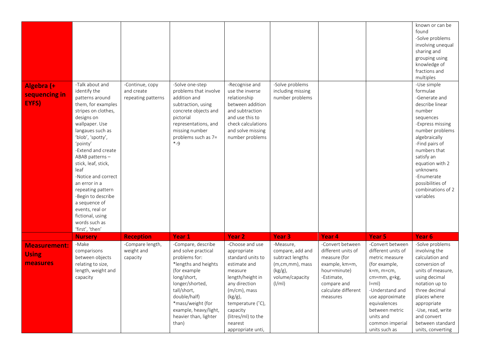| Algebra (+                                      | -Talk about and                                                                                                                                                                                                                                                                                                                                                                                                         | -Continue, copy                            | -Solve one-step                                                                                                                                                                                                                                     | -Recognise and                                                                                                                                                                                                                           | -Solve problems                                                                                                             |                                                                                                                                                          |                                                                                                                                                                                                                                            | known or can be<br>found<br>-Solve problems<br>involving unequal<br>sharing and<br>grouping using<br>knowledge of<br>fractions and<br>multiples<br>-Use simple                                                                                                                 |
|-------------------------------------------------|-------------------------------------------------------------------------------------------------------------------------------------------------------------------------------------------------------------------------------------------------------------------------------------------------------------------------------------------------------------------------------------------------------------------------|--------------------------------------------|-----------------------------------------------------------------------------------------------------------------------------------------------------------------------------------------------------------------------------------------------------|------------------------------------------------------------------------------------------------------------------------------------------------------------------------------------------------------------------------------------------|-----------------------------------------------------------------------------------------------------------------------------|----------------------------------------------------------------------------------------------------------------------------------------------------------|--------------------------------------------------------------------------------------------------------------------------------------------------------------------------------------------------------------------------------------------|--------------------------------------------------------------------------------------------------------------------------------------------------------------------------------------------------------------------------------------------------------------------------------|
| sequencing in<br>EYFS)                          | identify the<br>patterns around<br>them, for examples<br>stripes on clothes,<br>designs on<br>wallpaper. Use<br>langaues such as<br>'blob', 'spotty',<br>'pointy'<br>-Extend and create<br>ABAB patterns-<br>stick, leaf, stick,<br>leaf<br>-Notice and correct<br>an error in a<br>repeating pattern<br>-Begin to describe<br>a sequence of<br>events, real or<br>fictional, using<br>words such as<br>'first', 'then' | and create<br>repeating patterns           | problems that involve<br>addition and<br>subtraction, using<br>concrete objects and<br>pictorial<br>representations, and<br>missing number<br>problems such as 7=<br>$*q$                                                                           | use the inverse<br>relationship<br>between addition<br>and subtraction<br>and use this to<br>check calculations<br>and solve missing<br>number problems                                                                                  | including missing<br>number problems                                                                                        |                                                                                                                                                          |                                                                                                                                                                                                                                            | formulae<br>-Generate and<br>describe linear<br>number<br>sequences<br>-Express missing<br>number problems<br>algebraically<br>-Find pairs of<br>numbers that<br>satisfy an<br>equation with 2<br>unknowns<br>-Enumerate<br>possibilities of<br>combinations of 2<br>variables |
|                                                 | <b>Nursery</b>                                                                                                                                                                                                                                                                                                                                                                                                          | <b>Reception</b>                           | Year 1                                                                                                                                                                                                                                              | Year <sub>2</sub>                                                                                                                                                                                                                        | Year <sub>3</sub>                                                                                                           | Year 4                                                                                                                                                   | Year 5                                                                                                                                                                                                                                     | Year 6                                                                                                                                                                                                                                                                         |
| <b>Measurement:</b><br><b>Using</b><br>measures | -Make<br>comparisons<br>between objects<br>relating to size,<br>length, weight and<br>capacity                                                                                                                                                                                                                                                                                                                          | -Compare length,<br>weight and<br>capacity | -Compare, describe<br>and solve practical<br>problems for:<br>*lengths and heights<br>(for example<br>long/short,<br>longer/shorted,<br>tall/short,<br>double/half)<br>*mass/weight (for<br>example, heavy/light,<br>heavier than, lighter<br>than) | -Choose and use<br>appropriate<br>standard units to<br>estimate and<br>measure<br>length/height in<br>any direction<br>(m/cm), mass<br>$(kg/g)$ ,<br>temperature (°C),<br>capacity<br>(litres/ml) to the<br>nearest<br>appropriate unti, | -Measure,<br>compare, add and<br>subtract lengths<br>$(m, cm, mm)$ , mass<br>$(kg/g)$ ,<br>volume/capacity<br>$\frac{1}{m}$ | -Convert between<br>different units of<br>measure (for<br>example, km=m,<br>hour=minute)<br>-Estimate,<br>compare and<br>calculate different<br>measures | -Convert between<br>different units of<br>metric measure<br>(for example,<br>k=m, m=cm,<br>cm=mm, g=kg,<br>$ =m $<br>-Understand and<br>use approximate<br>equivalences<br>between metric<br>units and<br>common imperial<br>units such as | -Solve problems<br>involving the<br>calculation and<br>conversion of<br>units of measure,<br>using decimal<br>notation up to<br>three decimal<br>places where<br>appropriate<br>-Use, read, write<br>and convert<br>between standard<br>units, converting                      |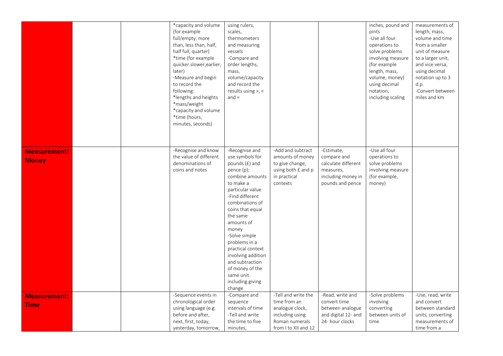|                                     |  | *capacity and volume<br>(for example<br>full/empty, more<br>than, less than, half,<br>half full, quarter)<br>*time (for example<br>quicker.slower, earlier,<br>later)<br>-Measure and begin<br>to record the<br>following:<br>*lengths and heights<br>*mass/weight<br>*capacity and volume<br>*time (hours,<br>minutes, seconds) | using rulers,<br>scales,<br>thermometers<br>and measuring<br>vessels<br>-Compare and<br>order lengths,<br>mass,<br>volume/capacity<br>and record the<br>results using >, <<br>$and =$                                                                                                                                                                                            |                                                                                                                     |                                                                                                         | inches, pound and<br>pints<br>-Use all four<br>operations to<br>solve problems<br>involving measure<br>(for example<br>length, mass,<br>volume, money)<br>using decimal<br>notation,<br>including scaling | measurements of<br>length, mass,<br>volume and time<br>from a smaller<br>unit of measure<br>to a larger unit,<br>and vice versa,<br>using decimal<br>notation up to 3<br>d.p.<br>-Convert between<br>miles and km |
|-------------------------------------|--|----------------------------------------------------------------------------------------------------------------------------------------------------------------------------------------------------------------------------------------------------------------------------------------------------------------------------------|----------------------------------------------------------------------------------------------------------------------------------------------------------------------------------------------------------------------------------------------------------------------------------------------------------------------------------------------------------------------------------|---------------------------------------------------------------------------------------------------------------------|---------------------------------------------------------------------------------------------------------|-----------------------------------------------------------------------------------------------------------------------------------------------------------------------------------------------------------|-------------------------------------------------------------------------------------------------------------------------------------------------------------------------------------------------------------------|
| <b>Measurement:</b><br><b>Money</b> |  | -Recognise and know<br>the value of different<br>denominations of<br>coins and notes                                                                                                                                                                                                                                             | -Recognise and<br>use symbols for<br>pounds (£) and<br>pence (p);<br>combine amounts<br>to make a<br>particular value<br>-Find different<br>combinations of<br>coins that equal<br>the same<br>amounts of<br>money<br>-Solve simple<br>problems in a<br>practical context<br>involving addition<br>and subtraction<br>of money of the<br>same unit<br>including giving<br>change | -Add and subtract<br>amounts of money<br>to give change,<br>using both £ and p<br>in practical<br>contexts          | -Estimate,<br>compare and<br>calculate different<br>measures,<br>including money in<br>pounds and pence | -Use all four<br>operations to<br>solve problems<br>involving measure<br>(for example,<br>money)                                                                                                          |                                                                                                                                                                                                                   |
| <b>Measurement:</b><br><b>Time</b>  |  | -Sequence events in<br>chronological order<br>using language (e.g.<br>before and after,<br>next, first, today,<br>yesterday, tomorrow,                                                                                                                                                                                           | -Compare and<br>sequence<br>intervals of time<br>-Tell and write<br>the time to five<br>minutes,                                                                                                                                                                                                                                                                                 | -Tell and write the<br>time from an<br>analogue clock,<br>including using<br>Roman numerals<br>from I to XII and 12 | -Read, write and<br>convert time<br>between analogue<br>and digital 12- and<br>24- hour clocks          | -Solve problems<br>involving<br>converting<br>between units of<br>time                                                                                                                                    | -Use, read, write<br>and convert<br>between standard<br>units, converting<br>measurements of<br>time from a                                                                                                       |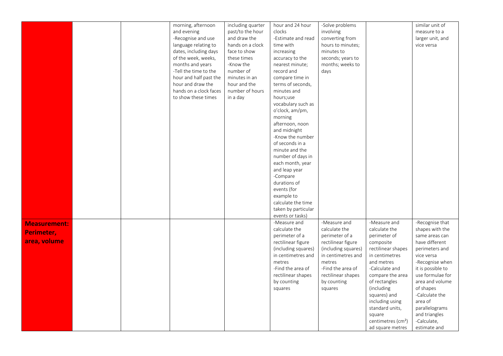|                     |  | morning, afternoon     | including quarter | hour and 24 hour    | -Solve problems     |                                | similar unit of   |
|---------------------|--|------------------------|-------------------|---------------------|---------------------|--------------------------------|-------------------|
|                     |  |                        |                   | clocks              |                     |                                |                   |
|                     |  | and evening            | past/to the hour  |                     | involving           |                                | measure to a      |
|                     |  | -Recognise and use     | and draw the      | -Estimate and read  | converting from     |                                | larger unit, and  |
|                     |  | language relating to   | hands on a clock  | time with           | hours to minutes;   |                                | vice versa        |
|                     |  | dates, including days  | face to show      | increasing          | minutes to          |                                |                   |
|                     |  | of the week, weeks,    | these times       | accuracy to the     | seconds; years to   |                                |                   |
|                     |  | months and years       | -Know the         | nearest minute;     | months; weeks to    |                                |                   |
|                     |  | -Tell the time to the  | number of         | record and          | days                |                                |                   |
|                     |  | hour and half past the | minutes in an     | compare time in     |                     |                                |                   |
|                     |  | hour and draw the      | hour and the      | terms of seconds,   |                     |                                |                   |
|                     |  | hands on a clock faces | number of hours   | minutes and         |                     |                                |                   |
|                     |  | to show these times    | in a day          | hours;use           |                     |                                |                   |
|                     |  |                        |                   | vocabulary such as  |                     |                                |                   |
|                     |  |                        |                   | o'clock, am/pm,     |                     |                                |                   |
|                     |  |                        |                   | morning             |                     |                                |                   |
|                     |  |                        |                   | afternoon, noon     |                     |                                |                   |
|                     |  |                        |                   | and midnight        |                     |                                |                   |
|                     |  |                        |                   | -Know the number    |                     |                                |                   |
|                     |  |                        |                   | of seconds in a     |                     |                                |                   |
|                     |  |                        |                   | minute and the      |                     |                                |                   |
|                     |  |                        |                   | number of days in   |                     |                                |                   |
|                     |  |                        |                   | each month, year    |                     |                                |                   |
|                     |  |                        |                   | and leap year       |                     |                                |                   |
|                     |  |                        |                   | -Compare            |                     |                                |                   |
|                     |  |                        |                   | durations of        |                     |                                |                   |
|                     |  |                        |                   | events (for         |                     |                                |                   |
|                     |  |                        |                   | example to          |                     |                                |                   |
|                     |  |                        |                   | calculate the time  |                     |                                |                   |
|                     |  |                        |                   |                     |                     |                                |                   |
|                     |  |                        |                   | taken by particular |                     |                                |                   |
|                     |  |                        |                   | events or tasks)    |                     |                                |                   |
| <b>Measurement:</b> |  |                        |                   | -Measure and        | -Measure and        | -Measure and                   | -Recognise that   |
| Perimeter,          |  |                        |                   | calculate the       | calculate the       | calculate the                  | shapes with the   |
|                     |  |                        |                   | perimeter of a      | perimeter of a      | perimeter of                   | same areas can    |
| area, volume        |  |                        |                   | rectilinear figure  | rectilinear figure  | composite                      | have different    |
|                     |  |                        |                   | (including squares) | (including squares) | rectilinear shapes             | perimeters and    |
|                     |  |                        |                   | in centimetres and  | in centimetres and  | in centimetres                 | vice versa        |
|                     |  |                        |                   | metres              | metres              | and metres                     | -Recognise when   |
|                     |  |                        |                   | -Find the area of   | -Find the area of   | -Calculate and                 | it is possible to |
|                     |  |                        |                   | rectilinear shapes  | rectilinear shapes  | compare the area               | use formulae for  |
|                     |  |                        |                   | by counting         | by counting         | of rectangles                  | area and volume   |
|                     |  |                        |                   | squares             | squares             | (including                     | of shapes         |
|                     |  |                        |                   |                     |                     | squares) and                   | -Calculate the    |
|                     |  |                        |                   |                     |                     | including using                | area of           |
|                     |  |                        |                   |                     |                     | standard units,                | parallelograms    |
|                     |  |                        |                   |                     |                     | square                         | and triangles     |
|                     |  |                        |                   |                     |                     | centimetres (cm <sup>2</sup> ) | -Calculate,       |
|                     |  |                        |                   |                     |                     | ad square metres               | estimate and      |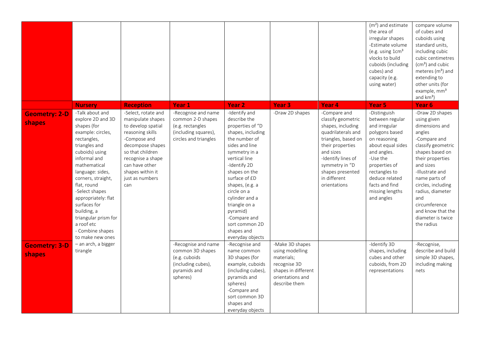|                                |                                                                                                                                                                                                                                                                                                                                                                           |                                                                                                                                                                                                                                 |                                                                                                               |                                                                                                                                                                                                                                                                                                                                                    |                                                                                                                              |                                                                                                                                                                                                                                   | $(m2)$ and estimate<br>the area of<br>irregular shapes<br>-Estimate volume<br>(e.g. using 1cm <sup>3</sup><br>vlocks to build<br>cuboids (including<br>cubes) and<br>capacity (e.g.<br>using water)                                       | compare volume<br>of cubes and<br>cuboids using<br>standard units,<br>including cubic<br>cubic centimetres<br>$(cm3)$ and cubic<br>meteres $(m3)$ and<br>extending to<br>other units (for<br>example, mm <sup>3</sup><br>and $km3$ )                                                                               |
|--------------------------------|---------------------------------------------------------------------------------------------------------------------------------------------------------------------------------------------------------------------------------------------------------------------------------------------------------------------------------------------------------------------------|---------------------------------------------------------------------------------------------------------------------------------------------------------------------------------------------------------------------------------|---------------------------------------------------------------------------------------------------------------|----------------------------------------------------------------------------------------------------------------------------------------------------------------------------------------------------------------------------------------------------------------------------------------------------------------------------------------------------|------------------------------------------------------------------------------------------------------------------------------|-----------------------------------------------------------------------------------------------------------------------------------------------------------------------------------------------------------------------------------|-------------------------------------------------------------------------------------------------------------------------------------------------------------------------------------------------------------------------------------------|--------------------------------------------------------------------------------------------------------------------------------------------------------------------------------------------------------------------------------------------------------------------------------------------------------------------|
|                                | <b>Nursery</b>                                                                                                                                                                                                                                                                                                                                                            | <b>Reception</b>                                                                                                                                                                                                                | Year <sub>1</sub>                                                                                             | Year <sub>2</sub>                                                                                                                                                                                                                                                                                                                                  | Year <sub>3</sub>                                                                                                            | Year <sub>4</sub>                                                                                                                                                                                                                 | Year <sub>5</sub>                                                                                                                                                                                                                         | Year 6                                                                                                                                                                                                                                                                                                             |
| <b>Geometry: 2-D</b><br>shapes | -Talk about and<br>explore 2D and 3D<br>shapes (for<br>example: circles,<br>rectangles,<br>triangles and<br>cuboids) using<br>informal and<br>mathematical<br>language: sides,<br>corners, straight,<br>flat, round<br>-Select shapes<br>appropriately: flat<br>surfaces for<br>building, a<br>triangular prism for<br>a roof etc<br>- Combine shapes<br>to make new ones | -Select, rotate and<br>manipulate shapes<br>to develop spatial<br>reasoning skills<br>-Compose and<br>decompose shapes<br>so that children<br>recognise a shape<br>can have other<br>shapes within it<br>just as numbers<br>can | -Recognise and name<br>common 2-D shapes<br>(e.g. rectangles<br>(including squares),<br>circles and triangles | -Identify and<br>describe the<br>properties of "D<br>shapes, including<br>the number of<br>sides and line<br>symmetry in a<br>vertical line<br>-Identify 2D<br>shapes on the<br>surface of £D<br>shapes, (e.g. a<br>circle on a<br>cylinder and a<br>triangle on a<br>pyramid)<br>-Compare and<br>sort common 2D<br>shapes and<br>everyday objects | -Draw 2D shapes                                                                                                              | -Compare and<br>classify geometric<br>shapes, including<br>quadrilaterals and<br>triangles, based on<br>their properties<br>and sizes<br>-Identify lines of<br>symmetry in "D<br>shapes presented<br>in different<br>orientations | -Distinguish<br>between regular<br>and irregular<br>polygons based<br>on reasoning<br>about equal sides<br>and angles.<br>-Use the<br>properties of<br>rectangles to<br>deduce related<br>facts and find<br>missing lengths<br>and angles | -Draw 2D shapes<br>using given<br>dimensions and<br>angles<br>-Compare and<br>classify geometric<br>shapes based on<br>their properties<br>and sizes<br>-Illustrate and<br>name parts of<br>circles, including<br>radius, diameter<br>and<br>circumference<br>and know that the<br>diameter is twice<br>the radius |
| <b>Geometry: 3-D</b><br>shapes | - an arch, a bigger<br>tirangle                                                                                                                                                                                                                                                                                                                                           |                                                                                                                                                                                                                                 | -Recognise and name<br>common 3D shapes<br>(e.g. cuboids<br>(including cubes),<br>pyramids and<br>spheres)    | -Recognise and<br>name common<br>3D shapes (for<br>example, cuboids<br>(including cubes),<br>pyramids and<br>spheres)<br>-Compare and<br>sort common 3D<br>shapes and<br>everyday objects                                                                                                                                                          | -Make 3D shapes<br>using modelling<br>materials;<br>recognise 3D<br>shapes in different<br>orientations and<br>describe them |                                                                                                                                                                                                                                   | -Identify 3D<br>shapes, including<br>cubes and other<br>cuboids, from 2D<br>representations                                                                                                                                               | -Recognise,<br>describe and build<br>simple 3D shapes,<br>including making<br>nets                                                                                                                                                                                                                                 |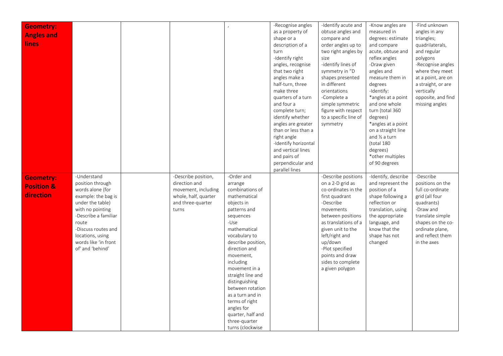| <b>Geometry:</b>      |                      |                      |                    | -Recognise angles    | -Identify acute and   | -Know angles are    | -Find unknown      |
|-----------------------|----------------------|----------------------|--------------------|----------------------|-----------------------|---------------------|--------------------|
|                       |                      |                      |                    | as a property of     | obtuse angles and     | measured in         | angles in any      |
| <b>Angles and</b>     |                      |                      |                    | shape or a           | compare and           | degrees: estimate   | triangles;         |
| <b>lines</b>          |                      |                      |                    | description of a     | order angles up to    | and compare         | quadrilaterals,    |
|                       |                      |                      |                    | turn                 | two right angles by   | acute, obtuse and   | and regular        |
|                       |                      |                      |                    | -Identify right      | size                  | reflex angles       | polygons           |
|                       |                      |                      |                    | angles, recognise    | -identify lines of    | -Draw given         | -Recognise angles  |
|                       |                      |                      |                    | that two right       | symmetry in "D        | angles and          | where they meet    |
|                       |                      |                      |                    | angles make a        | shapes presented      | measure them in     | at a point, are on |
|                       |                      |                      |                    | half-turn, three     | in different          | degrees             | a straight, or are |
|                       |                      |                      |                    | make three           | orientations          | -Identify:          | vertically         |
|                       |                      |                      |                    | quarters of a turn   | -Complete a           | *angles at a point  | opposite, and find |
|                       |                      |                      |                    | and four a           | simple symmetric      | and one whole       | missing angles     |
|                       |                      |                      |                    | complete turn;       | figure with respect   | turn (total 360     |                    |
|                       |                      |                      |                    | identify whether     | to a specific line of | degrees)            |                    |
|                       |                      |                      |                    | angles are greater   | symmetry              | *angles at a point  |                    |
|                       |                      |                      |                    | than or less than a  |                       | on a straight line  |                    |
|                       |                      |                      |                    | right angle          |                       | and 1/2 a turn      |                    |
|                       |                      |                      |                    | -Identify horizontal |                       | (total 180          |                    |
|                       |                      |                      |                    | and vertical lines   |                       | degrees)            |                    |
|                       |                      |                      |                    | and pairs of         |                       | *other multiples    |                    |
|                       |                      |                      |                    | perpendicular and    |                       | of 90 degrees       |                    |
|                       |                      |                      |                    | parallel lines       |                       |                     |                    |
|                       | -Understand          | -Describe position,  | -Order and         |                      | -Describe positions   | -Identify, describe | -Describe          |
| <b>Geometry:</b>      | position through     | direction and        | arrange            |                      | on a 2-D grid as      | and represent the   | positions on the   |
| <b>Position &amp;</b> | words alone (for     | movement, including  | combinations of    |                      | co-ordinates in the   | position of a       | full co-ordinate   |
| direction             | example: the bag is  | whole, half, quarter | mathematical       |                      | first quadrant        | shape following a   | grid (all four     |
|                       | under the table)     | and three-quarter    | objects in         |                      | -Describe             | reflection or       | quadrants)         |
|                       | with no pointing     | turns                | patterns and       |                      | movements             | translation, using  | -Draw and          |
|                       | -Describe a familiar |                      | sequences          |                      | between positions     | the appropriate     | translate simple   |
|                       | route                |                      | -Use               |                      | as translations of a  | language, and       | shapes on the co-  |
|                       | -Discuss routes and  |                      | mathematical       |                      | given unit to the     | know that the       | ordinate plane,    |
|                       | locations, using     |                      | vocabulary to      |                      | left/right and        | shape has not       | and reflect them   |
|                       | words like 'in front |                      | describe position, |                      | up/down               | changed             | in the axes        |
|                       | of' and 'behind'     |                      | direction and      |                      | -Plot specified       |                     |                    |
|                       |                      |                      | movement,          |                      | points and draw       |                     |                    |
|                       |                      |                      | including          |                      | sides to complete     |                     |                    |
|                       |                      |                      | movement in a      |                      | a given polygon       |                     |                    |
|                       |                      |                      | straight line and  |                      |                       |                     |                    |
|                       |                      |                      | distinguishing     |                      |                       |                     |                    |
|                       |                      |                      | between rotation   |                      |                       |                     |                    |
|                       |                      |                      | as a turn and in   |                      |                       |                     |                    |
|                       |                      |                      | terms of right     |                      |                       |                     |                    |
|                       |                      |                      | angles for         |                      |                       |                     |                    |
|                       |                      |                      | quarter, half and  |                      |                       |                     |                    |
|                       |                      |                      | three-quarter      |                      |                       |                     |                    |
|                       |                      |                      | turns (clockwise   |                      |                       |                     |                    |